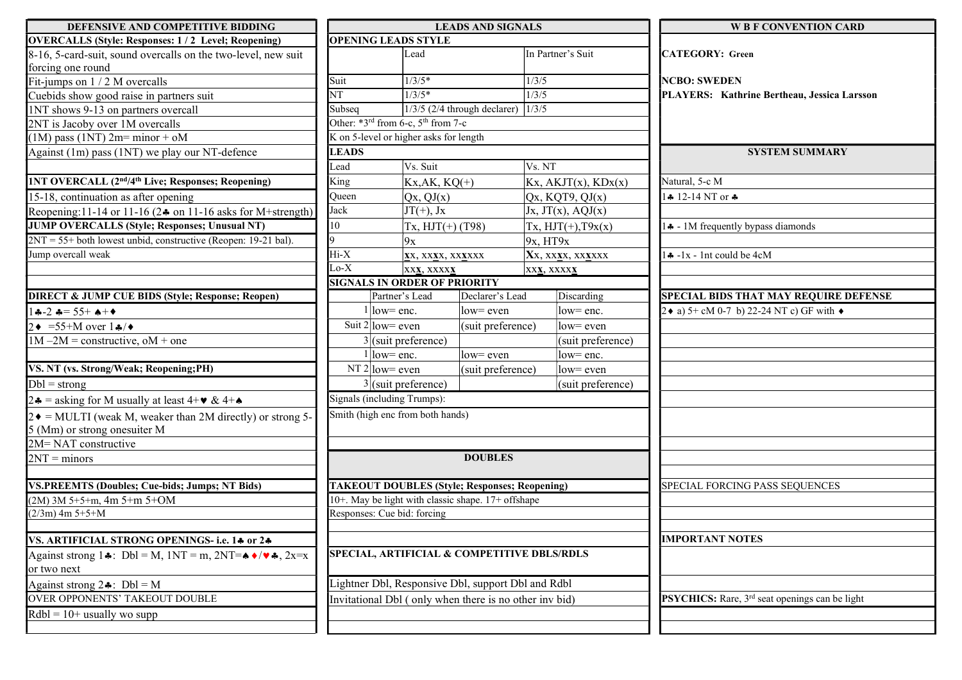| DEFENSIVE AND COMPETITIVE BIDDING                                                                            | <b>LEADS AND SIGNALS</b>            |                                                        |                                               |                                             | <b>W B F CONVENTION CARD</b>                                      |  |  |  |  |
|--------------------------------------------------------------------------------------------------------------|-------------------------------------|--------------------------------------------------------|-----------------------------------------------|---------------------------------------------|-------------------------------------------------------------------|--|--|--|--|
| <b>OVERCALLS (Style: Responses: 1/2 Level; Reopening)</b>                                                    |                                     | <b>OPENING LEADS STYLE</b>                             |                                               |                                             |                                                                   |  |  |  |  |
| 8-16, 5-card-suit, sound overcalls on the two-level, new suit                                                |                                     | Lead                                                   |                                               | In Partner's Suit                           | <b>CATEGORY: Green</b>                                            |  |  |  |  |
| forcing one round                                                                                            |                                     |                                                        |                                               |                                             |                                                                   |  |  |  |  |
| Fit-jumps on 1 / 2 M overcalls                                                                               | Suit                                | $1/3/5*$                                               |                                               | 1/3/5                                       | <b>NCBO: SWEDEN</b>                                               |  |  |  |  |
| Cuebids show good raise in partners suit                                                                     | NT                                  | $1/3/5*$                                               |                                               | 1/3/5                                       | PLAYERS: Kathrine Bertheau, Jessica Larsson                       |  |  |  |  |
| 1NT shows 9-13 on partners overcall                                                                          | Subseq                              |                                                        | $1/3/5$ (2/4 through declarer) $\sqrt{1/3/5}$ |                                             |                                                                   |  |  |  |  |
| 2NT is Jacoby over 1M overcalls                                                                              |                                     | Other: $*3^{rd}$ from 6-c, $5^{th}$ from 7-c           |                                               |                                             |                                                                   |  |  |  |  |
| $(1M)$ pass $(1NT)$ 2m= minor + oM                                                                           |                                     | K on 5-level or higher asks for length                 |                                               |                                             |                                                                   |  |  |  |  |
| Against (1m) pass (1NT) we play our NT-defence                                                               | <b>LEADS</b>                        |                                                        |                                               |                                             | <b>SYSTEM SUMMARY</b>                                             |  |  |  |  |
|                                                                                                              | Lead                                | Vs. Suit                                               |                                               | Vs. NT                                      |                                                                   |  |  |  |  |
| <b>INT OVERCALL (2nd/4th Live; Responses; Reopening)</b>                                                     | King                                | $Kx, AK, KQ(+)$                                        |                                               | $Kx$ , AKJT $(x)$ , KD $x(x)$               | Natural, 5-c M                                                    |  |  |  |  |
| 15-18, continuation as after opening                                                                         | Queen                               | Qx, QJ(x)                                              |                                               | Qx, KQT9, QJ(x)                             | $4 \cdot 12 - 14$ NT or $\clubsuit$                               |  |  |  |  |
| Reopening: 11-14 or 11-16 ( $2\clubsuit$ on 11-16 asks for M+strength)                                       | Jack                                | $JT(+)$ , Jx                                           |                                               | Jx, JT(x), AQJ(x)                           |                                                                   |  |  |  |  |
| <b>JUMP OVERCALLS (Style; Responses; Unusual NT)</b>                                                         | $\vert$ 10                          | $Tx, HJT(+) (T98)$                                     |                                               | $Tx, HJT(+), T9x(x)$                        | 4 - 1M frequently bypass diamonds                                 |  |  |  |  |
| $2NT = 55 +$ both lowest unbid, constructive (Reopen: 19-21 bal).                                            |                                     | 9x                                                     |                                               | $9x$ , HT $9x$                              |                                                                   |  |  |  |  |
| Jump overcall weak                                                                                           | $Hi-X$                              | XX, XXXX, XXXXXX                                       |                                               | Xx, xxxx, xxxxxx                            | $\sqrt{4}$ -1x - 1nt could be 4cM                                 |  |  |  |  |
|                                                                                                              | $Lo-X$<br><b>XXX, XXXXX</b>         |                                                        | XXX, XXXXX                                    |                                             |                                                                   |  |  |  |  |
|                                                                                                              | <b>SIGNALS IN ORDER OF PRIORITY</b> |                                                        |                                               |                                             |                                                                   |  |  |  |  |
| <b>DIRECT &amp; JUMP CUE BIDS (Style; Response; Reopen)</b>                                                  |                                     | Partner's Lead                                         | Declarer's Lead                               | Discarding                                  | <b>SPECIAL BIDS THAT MAY REQUIRE DEFENSE</b>                      |  |  |  |  |
| $4 - 2 = 55 + 1$                                                                                             |                                     | $1$ low= enc.                                          | low= even                                     | low= enc.                                   | 2 ♦ a) 5+ cM 0-7 b) 22-24 NT c) GF with $\triangleleft$           |  |  |  |  |
| $2 \cdot = 55 + M$ over $1 \cdot \cdot$                                                                      | Suit $2 $ low= even                 |                                                        | (suit preference)                             | $\vert$ low= even                           |                                                                   |  |  |  |  |
| $1M - 2M$ = constructive, oM + one                                                                           |                                     | $3$ (suit preference)                                  |                                               | (suit preference)                           |                                                                   |  |  |  |  |
|                                                                                                              |                                     | $1$ low= enc.                                          | $low=$ even                                   | low= enc.                                   |                                                                   |  |  |  |  |
| VS. NT (vs. Strong/Weak; Reopening; PH)                                                                      | NT $2$ low= even                    |                                                        | (suit preference)                             | $low=even$                                  |                                                                   |  |  |  |  |
| $Db =$ strong                                                                                                |                                     | $3$ (suit preference)                                  |                                               | (suit preference)                           |                                                                   |  |  |  |  |
| 2.4 = asking for M usually at least $4+\mathbf{v} \& 4+\mathbf{v}$                                           | Signals (including Trumps):         |                                                        |                                               |                                             |                                                                   |  |  |  |  |
| $2 \cdot \text{MULTI}$ (weak M, weaker than 2M directly) or strong 5-                                        |                                     | Smith (high enc from both hands)                       |                                               |                                             |                                                                   |  |  |  |  |
| 5 (Mm) or strong onesuiter M                                                                                 |                                     |                                                        |                                               |                                             |                                                                   |  |  |  |  |
| 2M=NAT constructive                                                                                          |                                     |                                                        |                                               |                                             |                                                                   |  |  |  |  |
| $2NT =$ minors                                                                                               |                                     |                                                        | <b>DOUBLES</b>                                |                                             |                                                                   |  |  |  |  |
|                                                                                                              |                                     |                                                        |                                               |                                             |                                                                   |  |  |  |  |
| <b>VS.PREEMTS (Doubles: Cue-bids: Jumps: NT Bids)</b>                                                        |                                     | <b>TAKEOUT DOUBLES (Style; Responses; Reopening)</b>   |                                               |                                             | SPECIAL FORCING PASS SEQUENCES                                    |  |  |  |  |
| $(2M)$ 3M 5+5+m, 4m 5+m 5+OM                                                                                 |                                     | 10+. May be light with classic shape. 17+ offshape     |                                               |                                             |                                                                   |  |  |  |  |
| $(2/3m)$ 4m 5+5+M                                                                                            | Responses: Cue bid: forcing         |                                                        |                                               |                                             |                                                                   |  |  |  |  |
|                                                                                                              |                                     |                                                        |                                               |                                             |                                                                   |  |  |  |  |
| VS. ARTIFICIAL STRONG OPENINGS- i.e. 14 or 24                                                                |                                     |                                                        |                                               |                                             | <b>IMPORTANT NOTES</b>                                            |  |  |  |  |
| Against strong 1.4: Dbl = M, $1NT = m$ , $2NT = \rightarrow \rightarrow/\rightarrow$ , $2x=x$<br>or two next |                                     |                                                        |                                               | SPECIAL, ARTIFICIAL & COMPETITIVE DBLS/RDLS |                                                                   |  |  |  |  |
| Against strong $2\clubsuit$ : Dbl = M                                                                        |                                     | Lightner Dbl, Responsive Dbl, support Dbl and Rdbl     |                                               |                                             |                                                                   |  |  |  |  |
| OVER OPPONENTS' TAKEOUT DOUBLE                                                                               |                                     | Invitational Dbl (only when there is no other inv bid) |                                               |                                             | <b>PSYCHICS:</b> Rare, 3 <sup>rd</sup> seat openings can be light |  |  |  |  |
| $Rdbl = 10+$ usually wo supp                                                                                 |                                     |                                                        |                                               |                                             |                                                                   |  |  |  |  |
|                                                                                                              |                                     |                                                        |                                               |                                             |                                                                   |  |  |  |  |